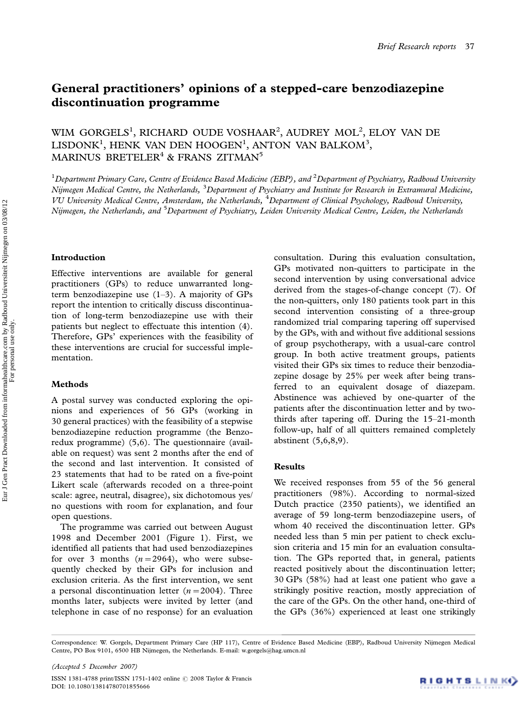# General practitioners' opinions of a stepped-care benzodiazepine discontinuation programme

WIM GORGELS<sup>1</sup>, RICHARD OUDE VOSHAAR<sup>2</sup>, AUDREY MOL<sup>2</sup>, ELOY VAN DE LISDONK<sup>1</sup>, HENK VAN DEN HOOGEN<sup>1</sup>, ANTON VAN BALKOM<sup>3</sup>, MARINUS BRETELER<sup>4</sup> & FRANS ZITMAN<sup>5</sup>

 $^1$ Department Primary Care, Centre of Evidence Based Medicine (EBP), and  $^2$ Department of Psychiatry, Radboud University Nijmegen Medical Centre, the Netherlands, <sup>3</sup>Department of Psychiatry and Institute for Research in Extramural Medicine, VU University Medical Centre, Amsterdam, the Netherlands, <sup>4</sup>Department of Clinical Psychology, Radboud University, Nijmegen, the Netherlands, and <sup>5</sup>Department of Psychiatry, Leiden University Medical Centre, Leiden, the Netherlands

## Introduction

Effective interventions are available for general practitioners (GPs) to reduce unwarranted longterm benzodiazepine use  $(1-3)$ . A majority of GPs report the intention to critically discuss discontinuation of long-term benzodiazepine use with their patients but neglect to effectuate this intention (4). Therefore, GPs' experiences with the feasibility of these interventions are crucial for successful implementation.

## Methods

A postal survey was conducted exploring the opinions and experiences of 56 GPs (working in 30 general practices) with the feasibility of a stepwise benzodiazepine reduction programme (the Benzoredux programme) (5,6). The questionnaire (available on request) was sent 2 months after the end of the second and last intervention. It consisted of 23 statements that had to be rated on a five-point Likert scale (afterwards recoded on a three-point scale: agree, neutral, disagree), six dichotomous yes/ no questions with room for explanation, and four open questions.

The programme was carried out between August 1998 and December 2001 (Figure 1). First, we identified all patients that had used benzodiazepines for over 3 months  $(n=2964)$ , who were subsequently checked by their GPs for inclusion and exclusion criteria. As the first intervention, we sent a personal discontinuation letter  $(n=2004)$ . Three months later, subjects were invited by letter (and telephone in case of no response) for an evaluation consultation. During this evaluation consultation, GPs motivated non-quitters to participate in the second intervention by using conversational advice derived from the stages-of-change concept (7). Of the non-quitters, only 180 patients took part in this second intervention consisting of a three-group randomized trial comparing tapering off supervised by the GPs, with and without five additional sessions of group psychotherapy, with a usual-care control group. In both active treatment groups, patients visited their GPs six times to reduce their benzodiazepine dosage by 25% per week after being transferred to an equivalent dosage of diazepam. Abstinence was achieved by one-quarter of the patients after the discontinuation letter and by twothirds after tapering off. During the  $15-21$ -month follow-up, half of all quitters remained completely abstinent (5,6,8,9).

## Results

We received responses from 55 of the 56 general practitioners (98%). According to normal-sized Dutch practice (2350 patients), we identified an average of 59 long-term benzodiazepine users, of whom 40 received the discontinuation letter. GPs needed less than 5 min per patient to check exclusion criteria and 15 min for an evaluation consultation. The GPs reported that, in general, patients reacted positively about the discontinuation letter; 30 GPs (58%) had at least one patient who gave a strikingly positive reaction, mostly appreciation of the care of the GPs. On the other hand, one-third of the GPs (36%) experienced at least one strikingly

Correspondence: W. Gorgels, Department Primary Care (HP 117), Centre of Evidence Based Medicine (EBP), Radboud University Nijmegen Medical Centre, PO Box 9101, 6500 HB Nijmegen, the Netherlands. E-mail: w.gorgels@hag.umcn.nl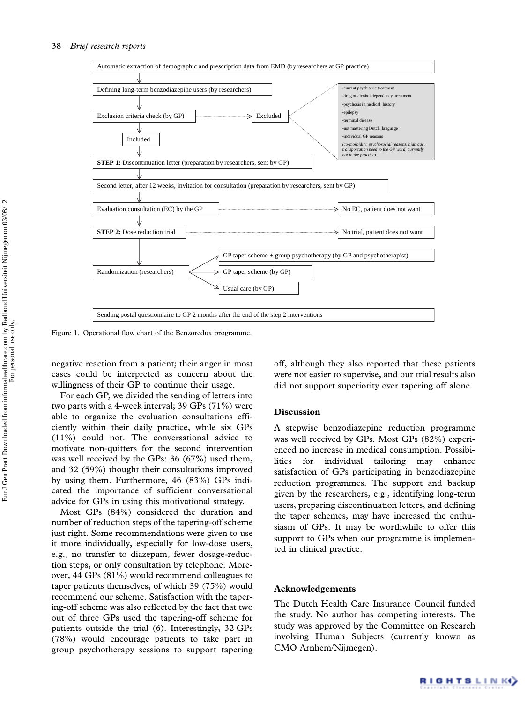

Figure 1. Operational flow chart of the Benzoredux programme.

negative reaction from a patient; their anger in most cases could be interpreted as concern about the willingness of their GP to continue their usage.

For each GP, we divided the sending of letters into two parts with a 4-week interval; 39 GPs (71%) were able to organize the evaluation consultations efficiently within their daily practice, while six GPs (11%) could not. The conversational advice to motivate non-quitters for the second intervention was well received by the GPs: 36 (67%) used them, and 32 (59%) thought their consultations improved by using them. Furthermore, 46 (83%) GPs indicated the importance of sufficient conversational advice for GPs in using this motivational strategy.

Most GPs (84%) considered the duration and number of reduction steps of the tapering-off scheme just right. Some recommendations were given to use it more individually, especially for low-dose users, e.g., no transfer to diazepam, fewer dosage-reduction steps, or only consultation by telephone. Moreover, 44 GPs (81%) would recommend colleagues to taper patients themselves, of which 39 (75%) would recommend our scheme. Satisfaction with the tapering-off scheme was also reflected by the fact that two out of three GPs used the tapering-off scheme for patients outside the trial (6). Interestingly, 32 GPs (78%) would encourage patients to take part in group psychotherapy sessions to support tapering off, although they also reported that these patients were not easier to supervise, and our trial results also did not support superiority over tapering off alone.

#### Discussion

A stepwise benzodiazepine reduction programme was well received by GPs. Most GPs (82%) experienced no increase in medical consumption. Possibilities for individual tailoring may enhance satisfaction of GPs participating in benzodiazepine reduction programmes. The support and backup given by the researchers, e.g., identifying long-term users, preparing discontinuation letters, and defining the taper schemes, may have increased the enthusiasm of GPs. It may be worthwhile to offer this support to GPs when our programme is implemented in clinical practice.

#### Acknowledgements

The Dutch Health Care Insurance Council funded the study. No author has competing interests. The study was approved by the Committee on Research involving Human Subjects (currently known as CMO Arnhem/Nijmegen).